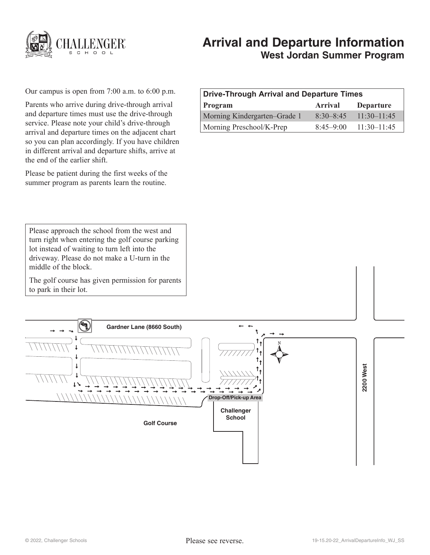

# **Arrival and Departure Information West Jordan Summer Program**

Our campus is open from 7:00 a.m. to 6:00 p.m.

Parents who arrive during drive-through arrival and departure times must use the drive-through service. Please note your child's drive-through arrival and departure times on the adjacent chart so you can plan accordingly. If you have children in different arrival and departure shifts, arrive at the end of the earlier shift.

Please be patient during the first weeks of the summer program as parents learn the routine.

| Drive-Through Arrival and Departure Times |               |                  |
|-------------------------------------------|---------------|------------------|
| <b>Program</b>                            | Arrival       | <b>Departure</b> |
| Morning Kindergarten–Grade 1              | $8.30 - 8.45$ | $11:30-11:45$    |
| Morning Preschool/K-Prep                  | $8.45 - 9.00$ | $11:30-11:45$    |

Please approach the school from the west and turn right when entering the golf course parking lot instead of waiting to turn left into the driveway. Please do not make a U-turn in the middle of the block.

The golf course has given permission for parents to park in their lot.